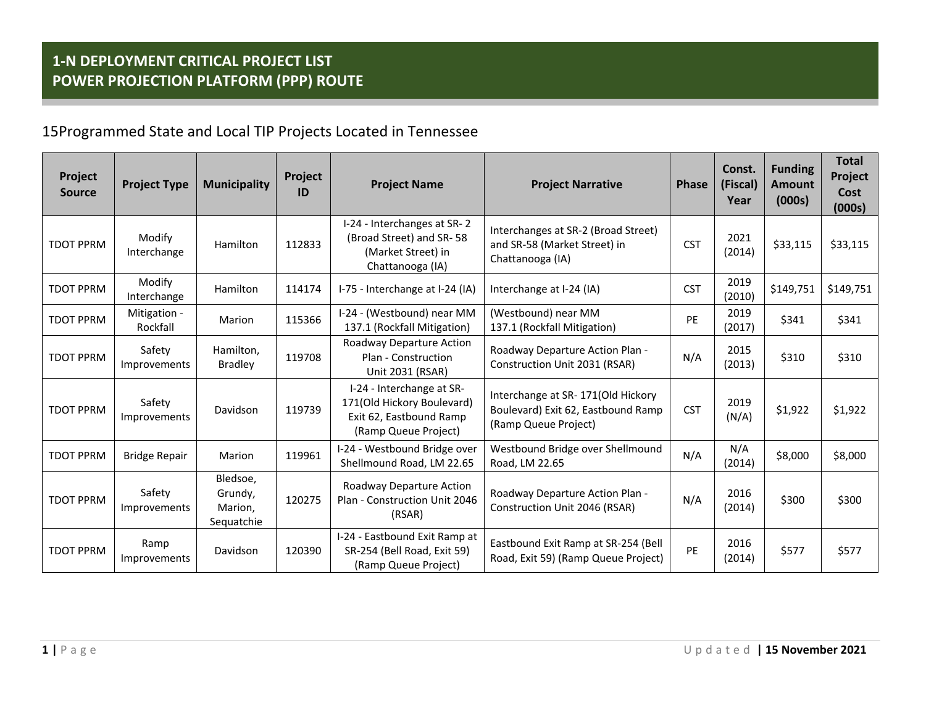| Project<br><b>Source</b> | <b>Project Type</b>      | <b>Municipality</b>                          | Project<br>ID | <b>Project Name</b>                                                                                        | <b>Project Narrative</b>                                                                        | <b>Phase</b> | Const.<br>(Fiscal)<br>Year | <b>Funding</b><br><b>Amount</b><br>(000s) | <b>Total</b><br>Project<br>Cost<br>(000s) |
|--------------------------|--------------------------|----------------------------------------------|---------------|------------------------------------------------------------------------------------------------------------|-------------------------------------------------------------------------------------------------|--------------|----------------------------|-------------------------------------------|-------------------------------------------|
| <b>TDOT PPRM</b>         | Modify<br>Interchange    | Hamilton                                     | 112833        | I-24 - Interchanges at SR-2<br>(Broad Street) and SR-58<br>(Market Street) in<br>Chattanooga (IA)          | Interchanges at SR-2 (Broad Street)<br>and SR-58 (Market Street) in<br>Chattanooga (IA)         | <b>CST</b>   | 2021<br>(2014)             | \$33,115                                  | \$33,115                                  |
| <b>TDOT PPRM</b>         | Modify<br>Interchange    | Hamilton                                     | 114174        | I-75 - Interchange at I-24 (IA)                                                                            | Interchange at I-24 (IA)                                                                        | <b>CST</b>   | 2019<br>(2010)             | \$149,751                                 | \$149,751                                 |
| <b>TDOT PPRM</b>         | Mitigation -<br>Rockfall | Marion                                       | 115366        | I-24 - (Westbound) near MM<br>137.1 (Rockfall Mitigation)                                                  | (Westbound) near MM<br>137.1 (Rockfall Mitigation)                                              | PE           | 2019<br>(2017)             | \$341                                     | \$341                                     |
| <b>TDOT PPRM</b>         | Safety<br>Improvements   | Hamilton,<br><b>Bradley</b>                  | 119708        | Roadway Departure Action<br>Plan - Construction<br>Unit 2031 (RSAR)                                        | Roadway Departure Action Plan -<br>Construction Unit 2031 (RSAR)                                | N/A          | 2015<br>(2013)             | \$310                                     | \$310                                     |
| <b>TDOT PPRM</b>         | Safety<br>Improvements   | Davidson                                     | 119739        | I-24 - Interchange at SR-<br>171(Old Hickory Boulevard)<br>Exit 62, Eastbound Ramp<br>(Ramp Queue Project) | Interchange at SR-171(Old Hickory<br>Boulevard) Exit 62, Eastbound Ramp<br>(Ramp Queue Project) | <b>CST</b>   | 2019<br>(N/A)              | \$1,922                                   | \$1,922                                   |
| <b>TDOT PPRM</b>         | <b>Bridge Repair</b>     | Marion                                       | 119961        | I-24 - Westbound Bridge over<br>Shellmound Road, LM 22.65                                                  | Westbound Bridge over Shellmound<br>Road, LM 22.65                                              | N/A          | N/A<br>(2014)              | \$8,000                                   | \$8,000                                   |
| <b>TDOT PPRM</b>         | Safety<br>Improvements   | Bledsoe,<br>Grundy,<br>Marion,<br>Sequatchie | 120275        | Roadway Departure Action<br>Plan - Construction Unit 2046<br>(RSAR)                                        | Roadway Departure Action Plan -<br>Construction Unit 2046 (RSAR)                                | N/A          | 2016<br>(2014)             | \$300                                     | \$300                                     |
| <b>TDOT PPRM</b>         | Ramp<br>Improvements     | Davidson                                     | 120390        | I-24 - Eastbound Exit Ramp at<br>SR-254 (Bell Road, Exit 59)<br>(Ramp Queue Project)                       | Eastbound Exit Ramp at SR-254 (Bell<br>Road, Exit 59) (Ramp Queue Project)                      | PE           | 2016<br>(2014)             | \$577                                     | \$577                                     |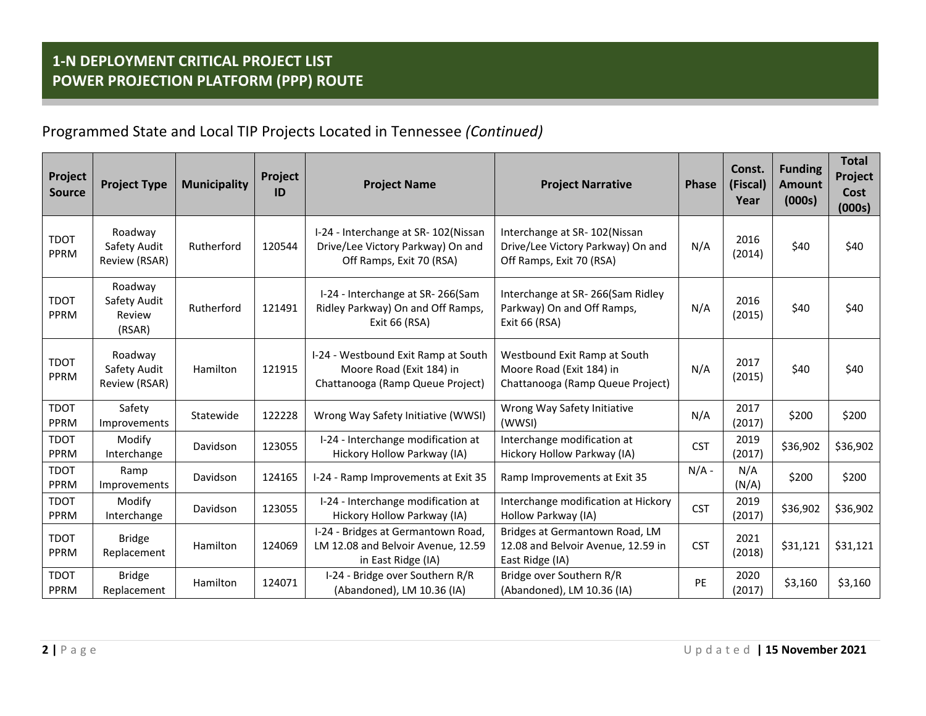| Project<br><b>Source</b> | <b>Project Type</b>                         | <b>Municipality</b> | Project<br>ID | <b>Project Name</b>                                                                                  | <b>Project Narrative</b>                                                                      | <b>Phase</b> | Const.<br>(Fiscal)<br>Year | <b>Funding</b><br><b>Amount</b><br>(000s) | <b>Total</b><br>Project<br>Cost<br>(000s) |
|--------------------------|---------------------------------------------|---------------------|---------------|------------------------------------------------------------------------------------------------------|-----------------------------------------------------------------------------------------------|--------------|----------------------------|-------------------------------------------|-------------------------------------------|
| <b>TDOT</b><br>PPRM      | Roadway<br>Safety Audit<br>Review (RSAR)    | Rutherford          | 120544        | I-24 - Interchange at SR-102(Nissan<br>Drive/Lee Victory Parkway) On and<br>Off Ramps, Exit 70 (RSA) | Interchange at SR-102(Nissan<br>Drive/Lee Victory Parkway) On and<br>Off Ramps, Exit 70 (RSA) | N/A          | 2016<br>(2014)             | \$40                                      | \$40                                      |
| <b>TDOT</b><br>PPRM      | Roadway<br>Safety Audit<br>Review<br>(RSAR) | Rutherford          | 121491        | I-24 - Interchange at SR-266(Sam<br>Ridley Parkway) On and Off Ramps,<br>Exit 66 (RSA)               | Interchange at SR-266(Sam Ridley<br>Parkway) On and Off Ramps,<br>Exit 66 (RSA)               | N/A          | 2016<br>(2015)             | \$40                                      | \$40                                      |
| <b>TDOT</b><br>PPRM      | Roadway<br>Safety Audit<br>Review (RSAR)    | Hamilton            | 121915        | I-24 - Westbound Exit Ramp at South<br>Moore Road (Exit 184) in<br>Chattanooga (Ramp Queue Project)  | Westbound Exit Ramp at South<br>Moore Road (Exit 184) in<br>Chattanooga (Ramp Queue Project)  | N/A          | 2017<br>(2015)             | \$40                                      | \$40                                      |
| <b>TDOT</b><br>PPRM      | Safety<br>Improvements                      | Statewide           | 122228        | Wrong Way Safety Initiative (WWSI)                                                                   | Wrong Way Safety Initiative<br>(WWSI)                                                         | N/A          | 2017<br>(2017)             | \$200                                     | \$200                                     |
| <b>TDOT</b><br>PPRM      | Modify<br>Interchange                       | Davidson            | 123055        | I-24 - Interchange modification at<br>Hickory Hollow Parkway (IA)                                    | Interchange modification at<br>Hickory Hollow Parkway (IA)                                    | <b>CST</b>   | 2019<br>(2017)             | \$36,902                                  | \$36,902                                  |
| <b>TDOT</b><br>PPRM      | Ramp<br>Improvements                        | Davidson            | 124165        | I-24 - Ramp Improvements at Exit 35                                                                  | Ramp Improvements at Exit 35                                                                  | $N/A -$      | N/A<br>(N/A)               | \$200                                     | \$200                                     |
| <b>TDOT</b><br>PPRM      | Modify<br>Interchange                       | Davidson            | 123055        | I-24 - Interchange modification at<br>Hickory Hollow Parkway (IA)                                    | Interchange modification at Hickory<br>Hollow Parkway (IA)                                    | <b>CST</b>   | 2019<br>(2017)             | \$36,902                                  | \$36,902                                  |
| <b>TDOT</b><br>PPRM      | <b>Bridge</b><br>Replacement                | Hamilton            | 124069        | I-24 - Bridges at Germantown Road,<br>LM 12.08 and Belvoir Avenue, 12.59<br>in East Ridge (IA)       | Bridges at Germantown Road, LM<br>12.08 and Belvoir Avenue, 12.59 in<br>East Ridge (IA)       | <b>CST</b>   | 2021<br>(2018)             | \$31,121                                  | \$31,121                                  |
| <b>TDOT</b><br>PPRM      | <b>Bridge</b><br>Replacement                | Hamilton            | 124071        | I-24 - Bridge over Southern R/R<br>(Abandoned), LM 10.36 (IA)                                        | Bridge over Southern R/R<br>(Abandoned), LM 10.36 (IA)                                        | PE           | 2020<br>(2017)             | \$3,160                                   | \$3,160                                   |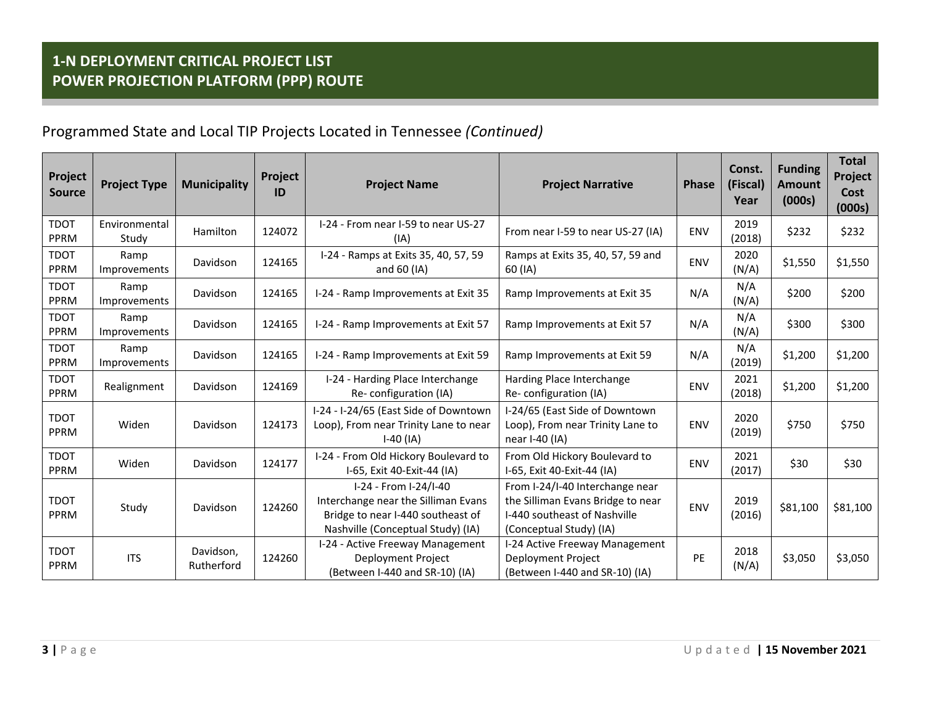| Project<br><b>Source</b>   | <b>Project Type</b>    | <b>Municipality</b>     | Project<br>ID | <b>Project Name</b>                                                                                                                    | <b>Project Narrative</b>                                                                                                        | <b>Phase</b> | Const.<br>(Fiscal)<br>Year | <b>Funding</b><br><b>Amount</b><br>(000s) | <b>Total</b><br>Project<br>Cost<br>(000s) |
|----------------------------|------------------------|-------------------------|---------------|----------------------------------------------------------------------------------------------------------------------------------------|---------------------------------------------------------------------------------------------------------------------------------|--------------|----------------------------|-------------------------------------------|-------------------------------------------|
| <b>TDOT</b><br>PPRM        | Environmental<br>Study | Hamilton                | 124072        | I-24 - From near I-59 to near US-27<br>(IA)                                                                                            | From near I-59 to near US-27 (IA)                                                                                               | <b>ENV</b>   | 2019<br>(2018)             | \$232                                     | \$232                                     |
| <b>TDOT</b><br>PPRM        | Ramp<br>Improvements   | Davidson                | 124165        | I-24 - Ramps at Exits 35, 40, 57, 59<br>and $60$ (IA)                                                                                  | Ramps at Exits 35, 40, 57, 59 and<br>60 (IA)                                                                                    | <b>ENV</b>   | 2020<br>(N/A)              | \$1,550                                   | \$1,550                                   |
| <b>TDOT</b><br>PPRM        | Ramp<br>Improvements   | Davidson                | 124165        | I-24 - Ramp Improvements at Exit 35                                                                                                    | Ramp Improvements at Exit 35                                                                                                    | N/A          | N/A<br>(N/A)               | \$200                                     | \$200                                     |
| <b>TDOT</b><br>PPRM        | Ramp<br>Improvements   | Davidson                | 124165        | I-24 - Ramp Improvements at Exit 57                                                                                                    | Ramp Improvements at Exit 57                                                                                                    | N/A          | N/A<br>(N/A)               | \$300                                     | \$300                                     |
| <b>TDOT</b><br>PPRM        | Ramp<br>Improvements   | Davidson                | 124165        | I-24 - Ramp Improvements at Exit 59                                                                                                    | Ramp Improvements at Exit 59                                                                                                    | N/A          | N/A<br>(2019)              | \$1,200                                   | \$1,200                                   |
| <b>TDOT</b><br>PPRM        | Realignment            | Davidson                | 124169        | I-24 - Harding Place Interchange<br>Re-configuration (IA)                                                                              | Harding Place Interchange<br>Re-configuration (IA)                                                                              | <b>ENV</b>   | 2021<br>(2018)             | \$1,200                                   | \$1,200                                   |
| <b>TDOT</b><br>PPRM        | Widen                  | Davidson                | 124173        | I-24 - I-24/65 (East Side of Downtown<br>Loop), From near Trinity Lane to near<br>$I-40$ (IA)                                          | I-24/65 (East Side of Downtown<br>Loop), From near Trinity Lane to<br>near I-40 (IA)                                            | <b>ENV</b>   | 2020<br>(2019)             | \$750                                     | \$750                                     |
| <b>TDOT</b><br>PPRM        | Widen                  | Davidson                | 124177        | I-24 - From Old Hickory Boulevard to<br>I-65, Exit 40-Exit-44 (IA)                                                                     | From Old Hickory Boulevard to<br>I-65, Exit 40-Exit-44 (IA)                                                                     | <b>ENV</b>   | 2021<br>(2017)             | \$30                                      | \$30                                      |
| <b>TDOT</b><br><b>PPRM</b> | Study                  | Davidson                | 124260        | I-24 - From I-24/I-40<br>Interchange near the Silliman Evans<br>Bridge to near I-440 southeast of<br>Nashville (Conceptual Study) (IA) | From I-24/I-40 Interchange near<br>the Silliman Evans Bridge to near<br>I-440 southeast of Nashville<br>(Conceptual Study) (IA) | ENV          | 2019<br>(2016)             | \$81,100                                  | \$81,100                                  |
| <b>TDOT</b><br>PPRM        | <b>ITS</b>             | Davidson,<br>Rutherford | 124260        | I-24 - Active Freeway Management<br>Deployment Project<br>(Between I-440 and SR-10) (IA)                                               | I-24 Active Freeway Management<br>Deployment Project<br>(Between I-440 and SR-10) (IA)                                          | PE           | 2018<br>(N/A)              | \$3,050                                   | \$3,050                                   |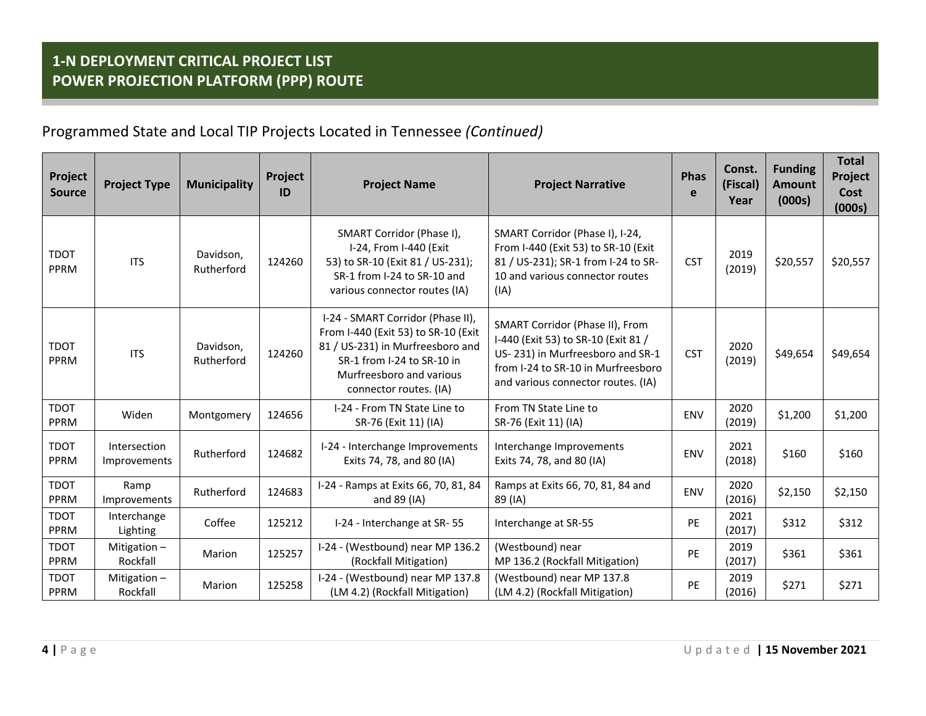| Project<br><b>Source</b> | <b>Project Type</b>          | <b>Municipality</b>     | <b>Project</b><br>ID | <b>Project Name</b>                                                                                                                                                                              | <b>Project Narrative</b>                                                                                                                                                               | <b>Phas</b><br>e | Const.<br>(Fiscal)<br>Year | <b>Funding</b><br><b>Amount</b><br>(000s) | <b>Total</b><br>Project<br>Cost<br>(000s) |
|--------------------------|------------------------------|-------------------------|----------------------|--------------------------------------------------------------------------------------------------------------------------------------------------------------------------------------------------|----------------------------------------------------------------------------------------------------------------------------------------------------------------------------------------|------------------|----------------------------|-------------------------------------------|-------------------------------------------|
| <b>TDOT</b><br>PPRM      | <b>ITS</b>                   | Davidson,<br>Rutherford | 124260               | SMART Corridor (Phase I),<br>I-24, From I-440 (Exit<br>53) to SR-10 (Exit 81 / US-231);<br>SR-1 from I-24 to SR-10 and<br>various connector routes (IA)                                          | SMART Corridor (Phase I), I-24,<br>From I-440 (Exit 53) to SR-10 (Exit<br>81 / US-231); SR-1 from I-24 to SR-<br>10 and various connector routes<br>(IA)                               | <b>CST</b>       | 2019<br>(2019)             | \$20,557                                  | \$20,557                                  |
| <b>TDOT</b><br>PPRM      | <b>ITS</b>                   | Davidson,<br>Rutherford | 124260               | I-24 - SMART Corridor (Phase II),<br>From I-440 (Exit 53) to SR-10 (Exit<br>81 / US-231) in Murfreesboro and<br>SR-1 from I-24 to SR-10 in<br>Murfreesboro and various<br>connector routes. (IA) | SMART Corridor (Phase II), From<br>I-440 (Exit 53) to SR-10 (Exit 81 /<br>US-231) in Murfreesboro and SR-1<br>from I-24 to SR-10 in Murfreesboro<br>and various connector routes. (IA) | <b>CST</b>       | 2020<br>(2019)             | \$49,654                                  | \$49,654                                  |
| <b>TDOT</b><br>PPRM      | Widen                        | Montgomery              | 124656               | I-24 - From TN State Line to<br>SR-76 (Exit 11) (IA)                                                                                                                                             | From TN State Line to<br>SR-76 (Exit 11) (IA)                                                                                                                                          | ENV              | 2020<br>(2019)             | \$1,200                                   | \$1,200                                   |
| <b>TDOT</b><br>PPRM      | Intersection<br>Improvements | Rutherford              | 124682               | I-24 - Interchange Improvements<br>Exits 74, 78, and 80 (IA)                                                                                                                                     | Interchange Improvements<br>Exits 74, 78, and 80 (IA)                                                                                                                                  | ENV              | 2021<br>(2018)             | \$160                                     | \$160                                     |
| <b>TDOT</b><br>PPRM      | Ramp<br>Improvements         | Rutherford              | 124683               | I-24 - Ramps at Exits 66, 70, 81, 84<br>and 89 (IA)                                                                                                                                              | Ramps at Exits 66, 70, 81, 84 and<br>89 (IA)                                                                                                                                           | ENV              | 2020<br>(2016)             | \$2,150                                   | \$2,150                                   |
| <b>TDOT</b><br>PPRM      | Interchange<br>Lighting      | Coffee                  | 125212               | I-24 - Interchange at SR-55                                                                                                                                                                      | Interchange at SR-55                                                                                                                                                                   | <b>PE</b>        | 2021<br>(2017)             | \$312                                     | \$312                                     |
| <b>TDOT</b><br>PPRM      | Mitigation $-$<br>Rockfall   | Marion                  | 125257               | I-24 - (Westbound) near MP 136.2<br>(Rockfall Mitigation)                                                                                                                                        | (Westbound) near<br>MP 136.2 (Rockfall Mitigation)                                                                                                                                     | PE               | 2019<br>(2017)             | \$361                                     | \$361                                     |
| <b>TDOT</b><br>PPRM      | Mitigation-<br>Rockfall      | Marion                  | 125258               | I-24 - (Westbound) near MP 137.8<br>(LM 4.2) (Rockfall Mitigation)                                                                                                                               | (Westbound) near MP 137.8<br>(LM 4.2) (Rockfall Mitigation)                                                                                                                            | PE               | 2019<br>(2016)             | \$271                                     | \$271                                     |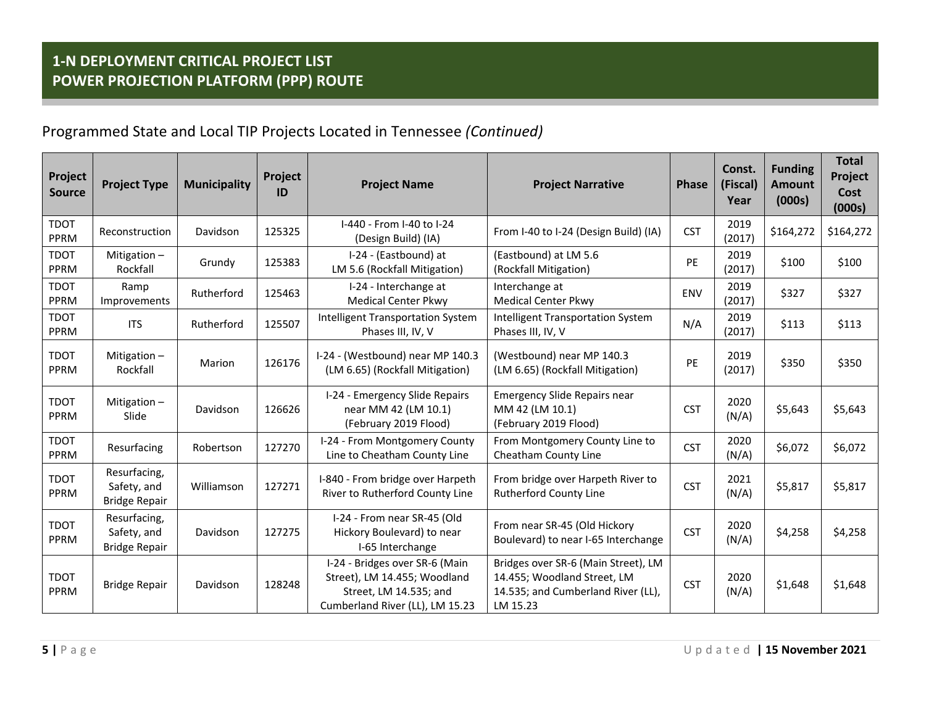| Project<br><b>Source</b> | <b>Project Type</b>                                 | <b>Municipality</b> | Project<br>ID | <b>Project Name</b>                                                                                                         | <b>Project Narrative</b>                                                                                             | <b>Phase</b> | Const.<br>(Fiscal)<br>Year | <b>Funding</b><br><b>Amount</b><br>(000s) | <b>Total</b><br>Project<br>Cost<br>(000s) |
|--------------------------|-----------------------------------------------------|---------------------|---------------|-----------------------------------------------------------------------------------------------------------------------------|----------------------------------------------------------------------------------------------------------------------|--------------|----------------------------|-------------------------------------------|-------------------------------------------|
| <b>TDOT</b><br>PPRM      | Reconstruction                                      | Davidson            | 125325        | I-440 - From I-40 to I-24<br>(Design Build) (IA)                                                                            | From I-40 to I-24 (Design Build) (IA)                                                                                | <b>CST</b>   | 2019<br>(2017)             | \$164,272                                 | \$164,272                                 |
| <b>TDOT</b><br>PPRM      | Mitigation-<br>Rockfall                             | Grundy              | 125383        | I-24 - (Eastbound) at<br>LM 5.6 (Rockfall Mitigation)                                                                       | (Eastbound) at LM 5.6<br>(Rockfall Mitigation)                                                                       | PE           | 2019<br>(2017)             | \$100                                     | \$100                                     |
| <b>TDOT</b><br>PPRM      | Ramp<br>Improvements                                | Rutherford          | 125463        | I-24 - Interchange at<br><b>Medical Center Pkwy</b>                                                                         | Interchange at<br><b>Medical Center Pkwy</b>                                                                         | ENV          | 2019<br>(2017)             | \$327                                     | \$327                                     |
| <b>TDOT</b><br>PPRM      | <b>ITS</b>                                          | Rutherford          | 125507        | <b>Intelligent Transportation System</b><br>Phases III, IV, V                                                               | <b>Intelligent Transportation System</b><br>Phases III, IV, V                                                        | N/A          | 2019<br>(2017)             | \$113                                     | \$113                                     |
| <b>TDOT</b><br>PPRM      | Mitigation $-$<br>Rockfall                          | Marion              | 126176        | I-24 - (Westbound) near MP 140.3<br>(LM 6.65) (Rockfall Mitigation)                                                         | (Westbound) near MP 140.3<br>(LM 6.65) (Rockfall Mitigation)                                                         | PE           | 2019<br>(2017)             | \$350                                     | \$350                                     |
| <b>TDOT</b><br>PPRM      | Mitigation-<br>Slide                                | Davidson            | 126626        | I-24 - Emergency Slide Repairs<br>near MM 42 (LM 10.1)<br>(February 2019 Flood)                                             | <b>Emergency Slide Repairs near</b><br>MM 42 (LM 10.1)<br>(February 2019 Flood)                                      | <b>CST</b>   | 2020<br>(N/A)              | \$5,643                                   | \$5,643                                   |
| <b>TDOT</b><br>PPRM      | Resurfacing                                         | Robertson           | 127270        | I-24 - From Montgomery County<br>Line to Cheatham County Line                                                               | From Montgomery County Line to<br>Cheatham County Line                                                               | <b>CST</b>   | 2020<br>(N/A)              | \$6,072                                   | \$6,072                                   |
| <b>TDOT</b><br>PPRM      | Resurfacing,<br>Safety, and<br><b>Bridge Repair</b> | Williamson          | 127271        | I-840 - From bridge over Harpeth<br>River to Rutherford County Line                                                         | From bridge over Harpeth River to<br>Rutherford County Line                                                          | <b>CST</b>   | 2021<br>(N/A)              | \$5,817                                   | \$5,817                                   |
| <b>TDOT</b><br>PPRM      | Resurfacing,<br>Safety, and<br><b>Bridge Repair</b> | Davidson            | 127275        | I-24 - From near SR-45 (Old<br>Hickory Boulevard) to near<br>I-65 Interchange                                               | From near SR-45 (Old Hickory<br>Boulevard) to near I-65 Interchange                                                  | <b>CST</b>   | 2020<br>(N/A)              | \$4,258                                   | \$4,258                                   |
| <b>TDOT</b><br>PPRM      | <b>Bridge Repair</b>                                | Davidson            | 128248        | I-24 - Bridges over SR-6 (Main<br>Street), LM 14.455; Woodland<br>Street, LM 14.535; and<br>Cumberland River (LL), LM 15.23 | Bridges over SR-6 (Main Street), LM<br>14.455; Woodland Street, LM<br>14.535; and Cumberland River (LL),<br>LM 15.23 | <b>CST</b>   | 2020<br>(N/A)              | \$1,648                                   | \$1,648                                   |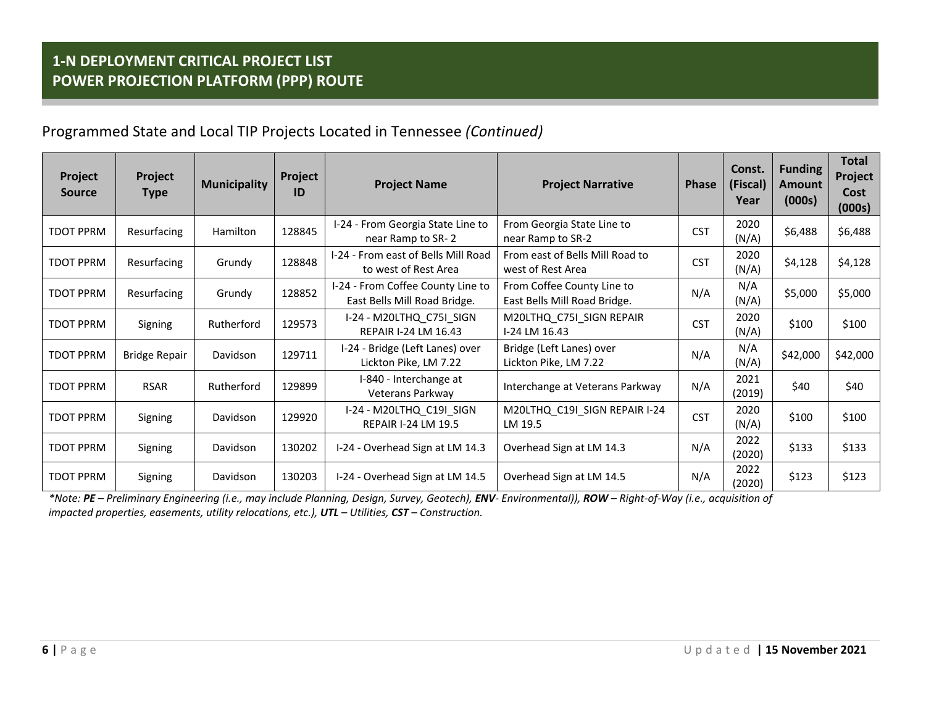| Project<br><b>Source</b> | Project<br><b>Type</b> | <b>Municipality</b> | Project<br>ID | <b>Project Name</b>                                               | <b>Project Narrative</b>                                   | <b>Phase</b> | Const.<br>(Fiscal)<br>Year | <b>Funding</b><br><b>Amount</b><br>(000s) | <b>Total</b><br>Project<br>Cost<br>(000s) |
|--------------------------|------------------------|---------------------|---------------|-------------------------------------------------------------------|------------------------------------------------------------|--------------|----------------------------|-------------------------------------------|-------------------------------------------|
| <b>TDOT PPRM</b>         | Resurfacing            | Hamilton            | 128845        | I-24 - From Georgia State Line to<br>near Ramp to SR-2            | From Georgia State Line to<br>near Ramp to SR-2            | <b>CST</b>   | 2020<br>(N/A)              | \$6,488                                   | \$6,488                                   |
| <b>TDOT PPRM</b>         | Resurfacing            | Grundy              | 128848        | I-24 - From east of Bells Mill Road<br>to west of Rest Area       | From east of Bells Mill Road to<br>west of Rest Area       | <b>CST</b>   | 2020<br>(N/A)              | \$4,128                                   | \$4,128                                   |
| <b>TDOT PPRM</b>         | Resurfacing            | Grundy              | 128852        | I-24 - From Coffee County Line to<br>East Bells Mill Road Bridge. | From Coffee County Line to<br>East Bells Mill Road Bridge. | N/A          | N/A<br>(N/A)               | \$5,000                                   | \$5,000                                   |
| <b>TDOT PPRM</b>         | Signing                | Rutherford          | 129573        | I-24 - M20LTHQ C75I SIGN<br><b>REPAIR I-24 LM 16.43</b>           | M20LTHQ_C75I_SIGN REPAIR<br>I-24 LM 16.43                  | <b>CST</b>   | 2020<br>(N/A)              | \$100                                     | \$100                                     |
| <b>TDOT PPRM</b>         | <b>Bridge Repair</b>   | Davidson            | 129711        | I-24 - Bridge (Left Lanes) over<br>Lickton Pike, LM 7.22          | Bridge (Left Lanes) over<br>Lickton Pike, LM 7.22          | N/A          | N/A<br>(N/A)               | \$42,000                                  | \$42,000                                  |
| <b>TDOT PPRM</b>         | <b>RSAR</b>            | Rutherford          | 129899        | I-840 - Interchange at<br>Veterans Parkway                        | Interchange at Veterans Parkway                            | N/A          | 2021<br>(2019)             | \$40                                      | \$40                                      |
| <b>TDOT PPRM</b>         | Signing                | Davidson            | 129920        | I-24 - M20LTHQ_C19I_SIGN<br><b>REPAIR I-24 LM 19.5</b>            | M20LTHQ_C19I_SIGN REPAIR I-24<br>LM 19.5                   | <b>CST</b>   | 2020<br>(N/A)              | \$100                                     | \$100                                     |
| <b>TDOT PPRM</b>         | Signing                | Davidson            | 130202        | I-24 - Overhead Sign at LM 14.3                                   | Overhead Sign at LM 14.3                                   | N/A          | 2022<br>(2020)             | \$133                                     | \$133                                     |
| <b>TDOT PPRM</b>         | Signing                | Davidson            | 130203        | I-24 - Overhead Sign at LM 14.5                                   | Overhead Sign at LM 14.5                                   | N/A          | 2022<br>(2020)             | \$123                                     | \$123                                     |

\*Note: **PE** – Preliminary Engineering (i.e., may include Planning, Design, Survey, Geotech), **ENV**- Environmental)), **ROW** – Right-of-Way (i.e., acquisition of *impacted properties, easements, utility relocations, etc.), UTL – Utilities, CST – Construction.*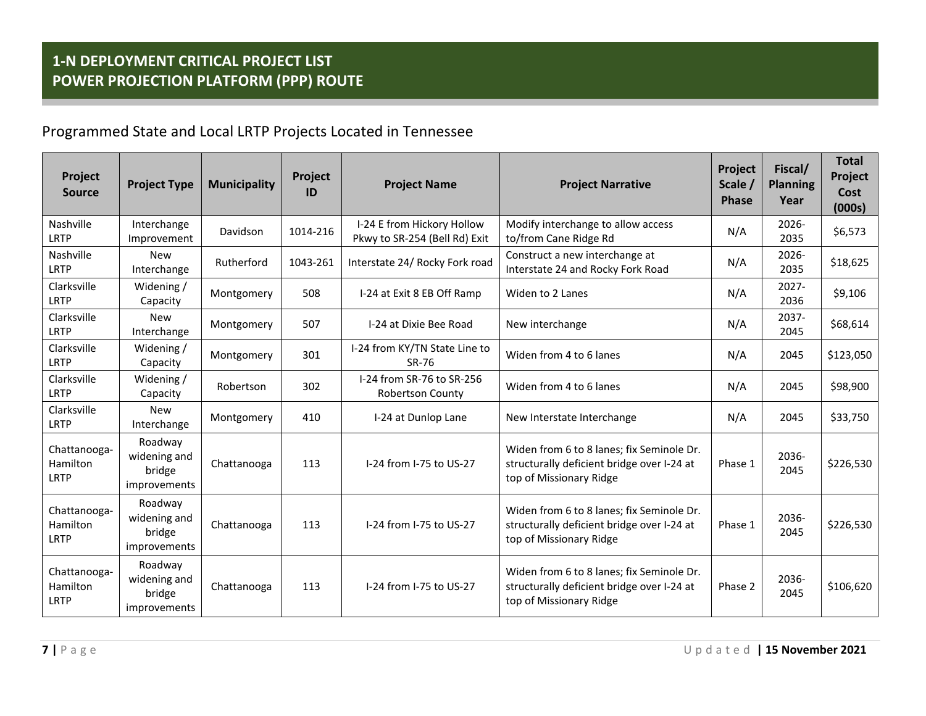# Programmed State and Local LRTP Projects Located in Tennessee

| Project<br><b>Source</b>                | <b>Project Type</b>                               | <b>Municipality</b> | Project<br>ID | <b>Project Name</b>                                         | <b>Project Narrative</b>                                                                                           | Project<br>Scale /<br><b>Phase</b> | Fiscal/<br><b>Planning</b><br>Year | <b>Total</b><br>Project<br>Cost<br>(000s) |
|-----------------------------------------|---------------------------------------------------|---------------------|---------------|-------------------------------------------------------------|--------------------------------------------------------------------------------------------------------------------|------------------------------------|------------------------------------|-------------------------------------------|
| Nashville<br><b>LRTP</b>                | Interchange<br>Improvement                        | Davidson            | 1014-216      | I-24 E from Hickory Hollow<br>Pkwy to SR-254 (Bell Rd) Exit | Modify interchange to allow access<br>to/from Cane Ridge Rd                                                        | N/A                                | 2026-<br>2035                      | \$6,573                                   |
| Nashville<br><b>LRTP</b>                | <b>New</b><br>Interchange                         | Rutherford          | 1043-261      | Interstate 24/ Rocky Fork road                              | Construct a new interchange at<br>Interstate 24 and Rocky Fork Road                                                | N/A                                | $2026 -$<br>2035                   | \$18,625                                  |
| Clarksville<br><b>LRTP</b>              | Widening /<br>Capacity                            | Montgomery          | 508           | I-24 at Exit 8 EB Off Ramp                                  | Widen to 2 Lanes                                                                                                   | N/A                                | $2027 -$<br>2036                   | \$9,106                                   |
| Clarksville<br><b>LRTP</b>              | <b>New</b><br>Interchange                         | Montgomery          | 507           | I-24 at Dixie Bee Road                                      | New interchange                                                                                                    | N/A                                | $2037 -$<br>2045                   | \$68,614                                  |
| Clarksville<br><b>LRTP</b>              | Widening /<br>Capacity                            | Montgomery          | 301           | I-24 from KY/TN State Line to<br>SR-76                      | Widen from 4 to 6 lanes                                                                                            | N/A                                | 2045                               | \$123,050                                 |
| Clarksville<br>LRTP                     | Widening /<br>Capacity                            | Robertson           | 302           | I-24 from SR-76 to SR-256<br><b>Robertson County</b>        | Widen from 4 to 6 lanes                                                                                            | N/A                                | 2045                               | \$98,900                                  |
| Clarksville<br><b>LRTP</b>              | <b>New</b><br>Interchange                         | Montgomery          | 410           | I-24 at Dunlop Lane                                         | New Interstate Interchange                                                                                         | N/A                                | 2045                               | \$33,750                                  |
| Chattanooga-<br>Hamilton<br>LRTP        | Roadway<br>widening and<br>bridge<br>improvements | Chattanooga         | 113           | I-24 from I-75 to US-27                                     | Widen from 6 to 8 lanes; fix Seminole Dr.<br>structurally deficient bridge over I-24 at<br>top of Missionary Ridge | Phase 1                            | 2036-<br>2045                      | \$226,530                                 |
| Chattanooga-<br>Hamilton<br>LRTP        | Roadway<br>widening and<br>bridge<br>improvements | Chattanooga         | 113           | I-24 from I-75 to US-27                                     | Widen from 6 to 8 lanes; fix Seminole Dr.<br>structurally deficient bridge over I-24 at<br>top of Missionary Ridge | Phase 1                            | 2036-<br>2045                      | \$226,530                                 |
| Chattanooga-<br>Hamilton<br><b>LRTP</b> | Roadway<br>widening and<br>bridge<br>improvements | Chattanooga         | 113           | I-24 from I-75 to US-27                                     | Widen from 6 to 8 lanes; fix Seminole Dr.<br>structurally deficient bridge over I-24 at<br>top of Missionary Ridge | Phase 2                            | 2036-<br>2045                      | \$106,620                                 |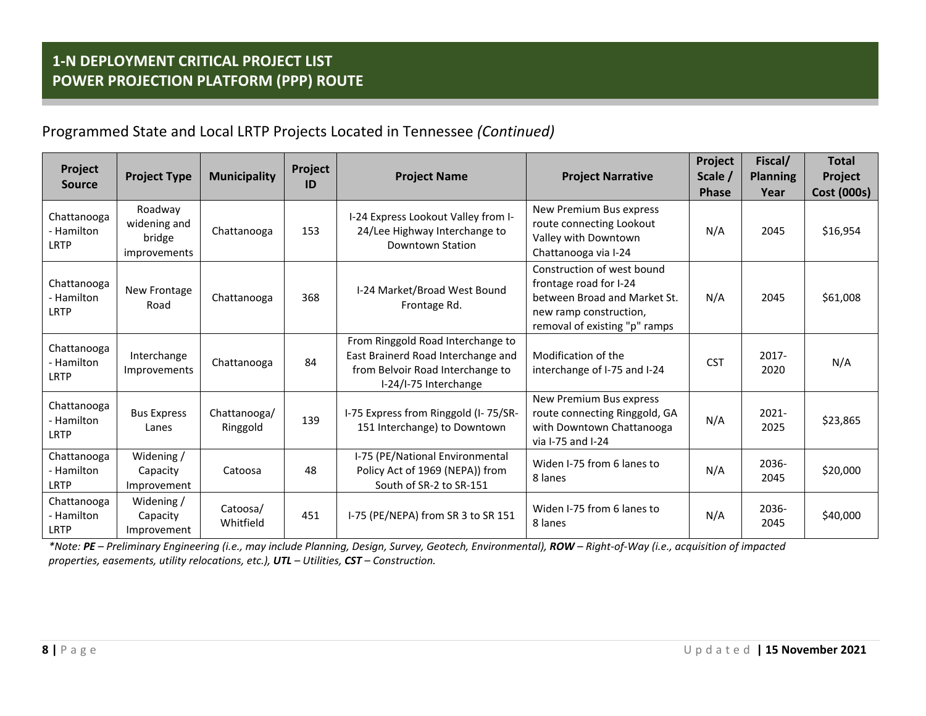| Project<br><b>Source</b>                 | <b>Project Type</b>                               | <b>Municipality</b>      | Project<br>ID | <b>Project Name</b>                                                                                                                  | <b>Project Narrative</b>                                                                                                                        | Project<br>Scale /<br><b>Phase</b> | Fiscal/<br><b>Planning</b><br>Year | <b>Total</b><br>Project<br><b>Cost (000s)</b> |
|------------------------------------------|---------------------------------------------------|--------------------------|---------------|--------------------------------------------------------------------------------------------------------------------------------------|-------------------------------------------------------------------------------------------------------------------------------------------------|------------------------------------|------------------------------------|-----------------------------------------------|
| Chattanooga<br>- Hamilton<br><b>LRTP</b> | Roadway<br>widening and<br>bridge<br>improvements | Chattanooga              | 153           | I-24 Express Lookout Valley from I-<br>24/Lee Highway Interchange to<br>Downtown Station                                             | New Premium Bus express<br>route connecting Lookout<br>Valley with Downtown<br>Chattanooga via I-24                                             | N/A                                | 2045                               | \$16,954                                      |
| Chattanooga<br>- Hamilton<br>LRTP        | New Frontage<br>Road                              | Chattanooga              | 368           | I-24 Market/Broad West Bound<br>Frontage Rd.                                                                                         | Construction of west bound<br>frontage road for I-24<br>between Broad and Market St.<br>new ramp construction,<br>removal of existing "p" ramps | N/A                                | 2045                               | \$61,008                                      |
| Chattanooga<br>- Hamilton<br>LRTP        | Interchange<br>Improvements                       | Chattanooga              | 84            | From Ringgold Road Interchange to<br>East Brainerd Road Interchange and<br>from Belvoir Road Interchange to<br>I-24/I-75 Interchange | Modification of the<br>interchange of I-75 and I-24                                                                                             | <b>CST</b>                         | $2017 -$<br>2020                   | N/A                                           |
| Chattanooga<br>- Hamilton<br><b>LRTP</b> | <b>Bus Express</b><br>Lanes                       | Chattanooga/<br>Ringgold | 139           | I-75 Express from Ringgold (I-75/SR-<br>151 Interchange) to Downtown                                                                 | New Premium Bus express<br>route connecting Ringgold, GA<br>with Downtown Chattanooga<br>via I-75 and I-24                                      | N/A                                | $2021 -$<br>2025                   | \$23,865                                      |
| Chattanooga<br>- Hamilton<br>LRTP        | Widening /<br>Capacity<br>Improvement             | Catoosa                  | 48            | I-75 (PE/National Environmental<br>Policy Act of 1969 (NEPA)) from<br>South of SR-2 to SR-151                                        | Widen I-75 from 6 lanes to<br>8 lanes                                                                                                           | N/A                                | 2036-<br>2045                      | \$20,000                                      |
| Chattanooga<br>- Hamilton<br><b>LRTP</b> | Widening /<br>Capacity<br>Improvement             | Catoosa/<br>Whitfield    | 451           | I-75 (PE/NEPA) from SR 3 to SR 151                                                                                                   | Widen I-75 from 6 lanes to<br>8 lanes                                                                                                           | N/A                                | 2036-<br>2045                      | \$40,000                                      |

\*Note: **PE** – Preliminary Engineering (i.e., may include Planning, Design, Survey, Geotech, Environmental), **ROW** – Right-of-Way (i.e., acquisition of impacted *properties, easements, utility relocations, etc.), UTL – Utilities, CST – Construction.*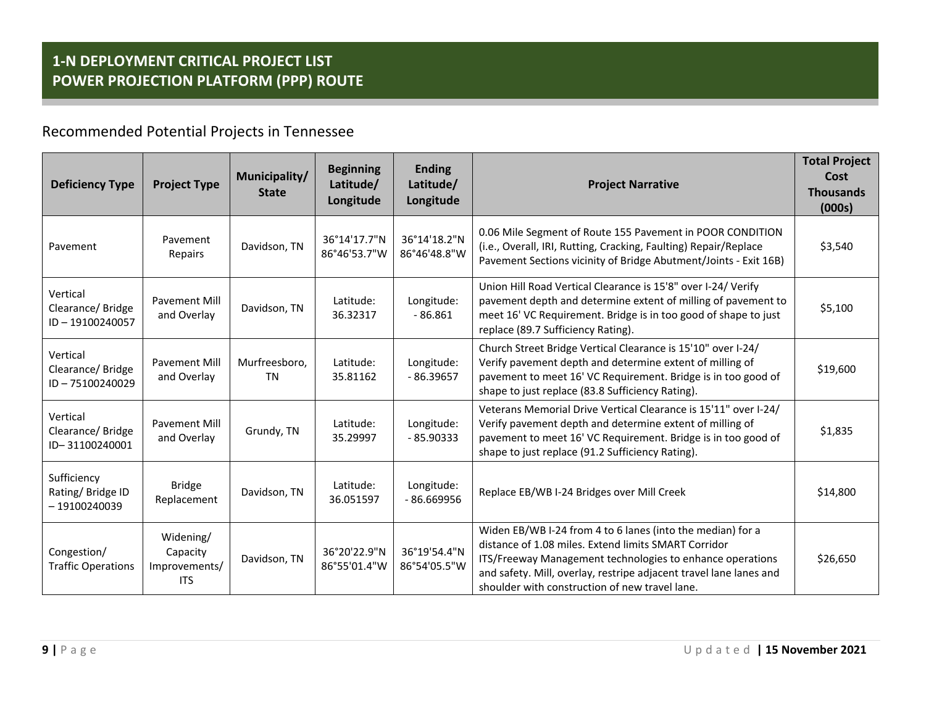Recommended Potential Projects in Tennessee

| <b>Deficiency Type</b>                            | <b>Project Type</b>                                  | Municipality/<br><b>State</b> | <b>Beginning</b><br>Latitude/<br>Longitude | <b>Ending</b><br>Latitude/<br>Longitude | <b>Project Narrative</b>                                                                                                                                                                                                                                                                                | <b>Total Project</b><br>Cost<br><b>Thousands</b><br>(000s) |
|---------------------------------------------------|------------------------------------------------------|-------------------------------|--------------------------------------------|-----------------------------------------|---------------------------------------------------------------------------------------------------------------------------------------------------------------------------------------------------------------------------------------------------------------------------------------------------------|------------------------------------------------------------|
| Pavement                                          | Pavement<br>Repairs                                  | Davidson, TN                  | 36°14'17.7"N<br>86°46'53.7"W               | 36°14'18.2"N<br>86°46'48.8"W            | 0.06 Mile Segment of Route 155 Pavement in POOR CONDITION<br>(i.e., Overall, IRI, Rutting, Cracking, Faulting) Repair/Replace<br>Pavement Sections vicinity of Bridge Abutment/Joints - Exit 16B)                                                                                                       | \$3,540                                                    |
| Vertical<br>Clearance/Bridge<br>ID-19100240057    | <b>Pavement Mill</b><br>and Overlay                  | Davidson, TN                  | Latitude:<br>36.32317                      | Longitude:<br>$-86.861$                 | Union Hill Road Vertical Clearance is 15'8" over I-24/ Verify<br>pavement depth and determine extent of milling of pavement to<br>meet 16' VC Requirement. Bridge is in too good of shape to just<br>replace (89.7 Sufficiency Rating).                                                                 | \$5,100                                                    |
| Vertical<br>Clearance/Bridge<br>ID-75100240029    | <b>Pavement Mill</b><br>and Overlay                  | Murfreesboro,<br><b>TN</b>    | Latitude:<br>35.81162                      | Longitude:<br>$-86.39657$               | Church Street Bridge Vertical Clearance is 15'10" over I-24/<br>Verify pavement depth and determine extent of milling of<br>pavement to meet 16' VC Requirement. Bridge is in too good of<br>shape to just replace (83.8 Sufficiency Rating).                                                           | \$19,600                                                   |
| Vertical<br>Clearance/Bridge<br>ID-31100240001    | <b>Pavement Mill</b><br>and Overlay                  | Grundy, TN                    | Latitude:<br>35.29997                      | Longitude:<br>$-85.90333$               | Veterans Memorial Drive Vertical Clearance is 15'11" over I-24/<br>Verify pavement depth and determine extent of milling of<br>pavement to meet 16' VC Requirement. Bridge is in too good of<br>shape to just replace (91.2 Sufficiency Rating).                                                        | \$1,835                                                    |
| Sufficiency<br>Rating/Bridge ID<br>$-19100240039$ | <b>Bridge</b><br>Replacement                         | Davidson, TN                  | Latitude:<br>36.051597                     | Longitude:<br>$-86.669956$              | Replace EB/WB I-24 Bridges over Mill Creek                                                                                                                                                                                                                                                              | \$14,800                                                   |
| Congestion/<br><b>Traffic Operations</b>          | Widening/<br>Capacity<br>Improvements/<br><b>ITS</b> | Davidson, TN                  | 36°20'22.9"N<br>86°55'01.4"W               | 36°19'54.4"N<br>86°54'05.5"W            | Widen EB/WB I-24 from 4 to 6 lanes (into the median) for a<br>distance of 1.08 miles. Extend limits SMART Corridor<br>ITS/Freeway Management technologies to enhance operations<br>and safety. Mill, overlay, restripe adjacent travel lane lanes and<br>shoulder with construction of new travel lane. | \$26,650                                                   |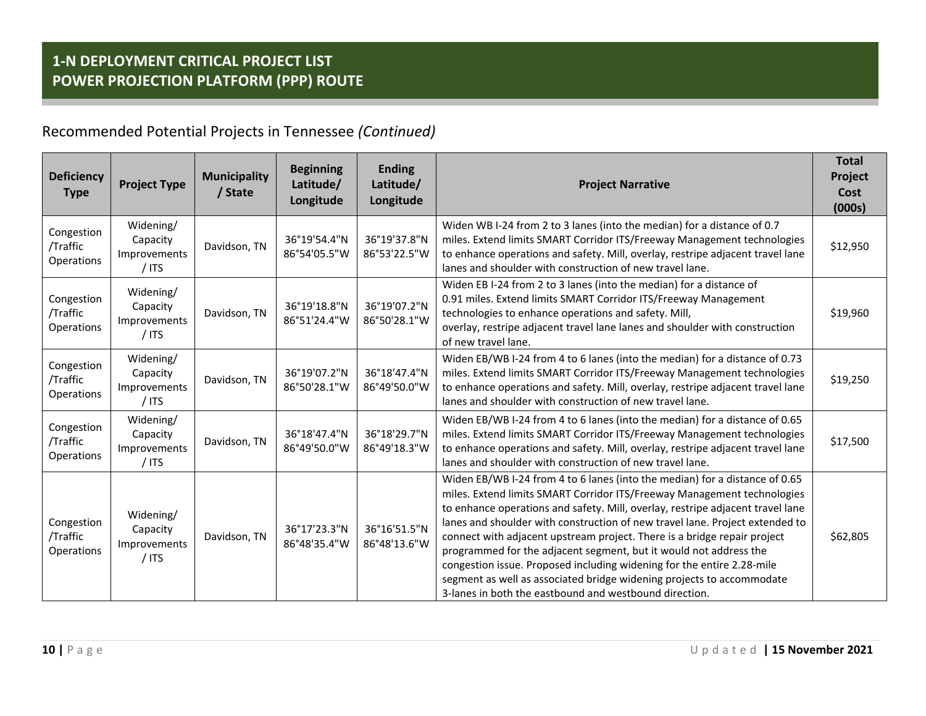### Recommended Potential Projects in Tennessee *(Continued)*

| <b>Deficiency</b><br><b>Type</b>            | <b>Project Type</b>                              | <b>Municipality</b><br>/ State | <b>Beginning</b><br>Latitude/<br>Longitude | <b>Ending</b><br>Latitude/<br>Longitude | <b>Project Narrative</b>                                                                                                                                                                                                                                                                                                                                                                                                                                                                                                                                                                                                                                                               | <b>Total</b><br>Project<br>Cost<br>(000s) |
|---------------------------------------------|--------------------------------------------------|--------------------------------|--------------------------------------------|-----------------------------------------|----------------------------------------------------------------------------------------------------------------------------------------------------------------------------------------------------------------------------------------------------------------------------------------------------------------------------------------------------------------------------------------------------------------------------------------------------------------------------------------------------------------------------------------------------------------------------------------------------------------------------------------------------------------------------------------|-------------------------------------------|
| Congestion<br>/Traffic<br><b>Operations</b> | Widening/<br>Capacity<br>Improvements<br>$/$ ITS | Davidson, TN                   | 36°19'54.4"N<br>86°54'05.5"W               | 36°19'37.8"N<br>86°53'22.5"W            | Widen WB I-24 from 2 to 3 lanes (into the median) for a distance of 0.7<br>miles. Extend limits SMART Corridor ITS/Freeway Management technologies<br>to enhance operations and safety. Mill, overlay, restripe adjacent travel lane<br>lanes and shoulder with construction of new travel lane.                                                                                                                                                                                                                                                                                                                                                                                       | \$12,950                                  |
| Congestion<br>/Traffic<br>Operations        | Widening/<br>Capacity<br>Improvements<br>$/$ ITS | Davidson, TN                   | 36°19'18.8"N<br>86°51'24.4"W               | 36°19'07.2"N<br>86°50'28.1"W            | Widen EB I-24 from 2 to 3 lanes (into the median) for a distance of<br>0.91 miles. Extend limits SMART Corridor ITS/Freeway Management<br>technologies to enhance operations and safety. Mill,<br>overlay, restripe adjacent travel lane lanes and shoulder with construction<br>of new travel lane.                                                                                                                                                                                                                                                                                                                                                                                   | \$19,960                                  |
| Congestion<br>/Traffic<br><b>Operations</b> | Widening/<br>Capacity<br>Improvements<br>$/$ ITS | Davidson, TN                   | 36°19'07.2"N<br>86°50'28.1"W               | 36°18'47.4"N<br>86°49'50.0"W            | Widen EB/WB I-24 from 4 to 6 lanes (into the median) for a distance of 0.73<br>miles. Extend limits SMART Corridor ITS/Freeway Management technologies<br>to enhance operations and safety. Mill, overlay, restripe adjacent travel lane<br>lanes and shoulder with construction of new travel lane.                                                                                                                                                                                                                                                                                                                                                                                   | \$19,250                                  |
| Congestion<br>/Traffic<br>Operations        | Widening/<br>Capacity<br>Improvements<br>$/$ ITS | Davidson, TN                   | 36°18'47.4"N<br>86°49'50.0"W               | 36°18'29.7"N<br>86°49'18.3"W            | Widen EB/WB I-24 from 4 to 6 lanes (into the median) for a distance of 0.65<br>miles. Extend limits SMART Corridor ITS/Freeway Management technologies<br>to enhance operations and safety. Mill, overlay, restripe adjacent travel lane<br>lanes and shoulder with construction of new travel lane.                                                                                                                                                                                                                                                                                                                                                                                   | \$17,500                                  |
| Congestion<br>/Traffic<br><b>Operations</b> | Widening/<br>Capacity<br>Improvements<br>$/$ ITS | Davidson, TN                   | 36°17'23.3"N<br>86°48'35.4"W               | 36°16'51.5"N<br>86°48'13.6"W            | Widen EB/WB I-24 from 4 to 6 lanes (into the median) for a distance of 0.65<br>miles. Extend limits SMART Corridor ITS/Freeway Management technologies<br>to enhance operations and safety. Mill, overlay, restripe adjacent travel lane<br>lanes and shoulder with construction of new travel lane. Project extended to<br>connect with adjacent upstream project. There is a bridge repair project<br>programmed for the adjacent segment, but it would not address the<br>congestion issue. Proposed including widening for the entire 2.28-mile<br>segment as well as associated bridge widening projects to accommodate<br>3-lanes in both the eastbound and westbound direction. | \$62,805                                  |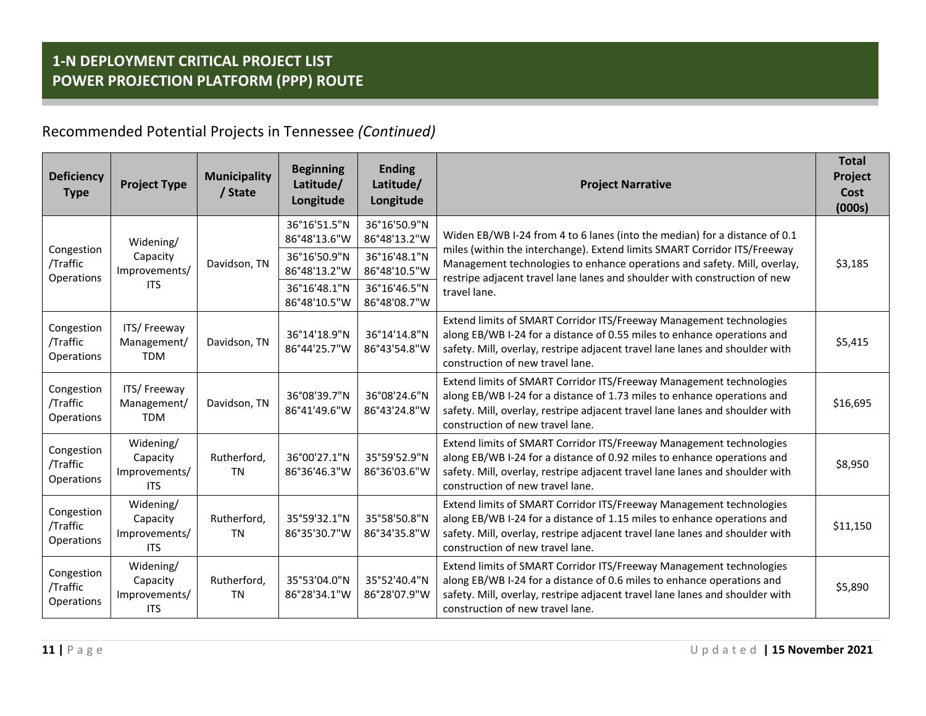### Recommended Potential Projects in Tennessee *(Continued)*

| <b>Deficiency</b><br><b>Type</b>     | <b>Project Type</b>                                  | <b>Municipality</b><br>/ State | <b>Beginning</b><br>Latitude/<br>Longitude   | <b>Ending</b><br>Latitude/<br>Longitude      | <b>Project Narrative</b>                                                                                                                                                                                                                                           | <b>Total</b><br>Project<br>Cost<br>(000s) |
|--------------------------------------|------------------------------------------------------|--------------------------------|----------------------------------------------|----------------------------------------------|--------------------------------------------------------------------------------------------------------------------------------------------------------------------------------------------------------------------------------------------------------------------|-------------------------------------------|
| Congestion<br>/Traffic               | Widening/<br>Capacity                                | Davidson, TN                   | 36°16'51.5"N<br>86°48'13.6"W<br>36°16'50.9"N | 36°16'50.9"N<br>86°48'13.2"W<br>36°16'48.1"N | Widen EB/WB I-24 from 4 to 6 lanes (into the median) for a distance of 0.1<br>miles (within the interchange). Extend limits SMART Corridor ITS/Freeway<br>Management technologies to enhance operations and safety. Mill, overlay,                                 | \$3,185                                   |
| Operations                           | Improvements/<br><b>ITS</b>                          |                                | 86°48'13.2"W<br>36°16'48.1"N<br>86°48'10.5"W | 86°48'10.5"W<br>36°16'46.5"N<br>86°48'08.7"W | restripe adjacent travel lane lanes and shoulder with construction of new<br>travel lane.                                                                                                                                                                          |                                           |
| Congestion<br>/Traffic<br>Operations | ITS/Freeway<br>Management/<br><b>TDM</b>             | Davidson, TN                   | 36°14'18.9"N<br>86°44'25.7"W                 | 36°14'14.8"N<br>86°43'54.8"W                 | Extend limits of SMART Corridor ITS/Freeway Management technologies<br>along EB/WB I-24 for a distance of 0.55 miles to enhance operations and<br>safety. Mill, overlay, restripe adjacent travel lane lanes and shoulder with<br>construction of new travel lane. | \$5,415                                   |
| Congestion<br>/Traffic<br>Operations | ITS/Freeway<br>Management/<br><b>TDM</b>             | Davidson, TN                   | 36°08'39.7"N<br>86°41'49.6"W                 | 36°08'24.6"N<br>86°43'24.8"W                 | Extend limits of SMART Corridor ITS/Freeway Management technologies<br>along EB/WB I-24 for a distance of 1.73 miles to enhance operations and<br>safety. Mill, overlay, restripe adjacent travel lane lanes and shoulder with<br>construction of new travel lane. | \$16,695                                  |
| Congestion<br>/Traffic<br>Operations | Widening/<br>Capacity<br>Improvements/<br><b>ITS</b> | Rutherford,<br><b>TN</b>       | 36°00'27.1"N<br>86°36'46.3"W                 | 35°59'52.9"N<br>86°36'03.6"W                 | Extend limits of SMART Corridor ITS/Freeway Management technologies<br>along EB/WB I-24 for a distance of 0.92 miles to enhance operations and<br>safety. Mill, overlay, restripe adjacent travel lane lanes and shoulder with<br>construction of new travel lane. | \$8,950                                   |
| Congestion<br>/Traffic<br>Operations | Widening/<br>Capacity<br>Improvements/<br><b>ITS</b> | Rutherford,<br>TN              | 35°59'32.1"N<br>86°35'30.7"W                 | 35°58'50.8"N<br>86°34'35.8"W                 | Extend limits of SMART Corridor ITS/Freeway Management technologies<br>along EB/WB I-24 for a distance of 1.15 miles to enhance operations and<br>safety. Mill, overlay, restripe adjacent travel lane lanes and shoulder with<br>construction of new travel lane. | \$11,150                                  |
| Congestion<br>/Traffic<br>Operations | Widening/<br>Capacity<br>Improvements/<br><b>ITS</b> | Rutherford,<br><b>TN</b>       | 35°53'04.0"N<br>86°28'34.1"W                 | 35°52'40.4"N<br>86°28'07.9"W                 | Extend limits of SMART Corridor ITS/Freeway Management technologies<br>along EB/WB I-24 for a distance of 0.6 miles to enhance operations and<br>safety. Mill, overlay, restripe adjacent travel lane lanes and shoulder with<br>construction of new travel lane.  | \$5,890                                   |